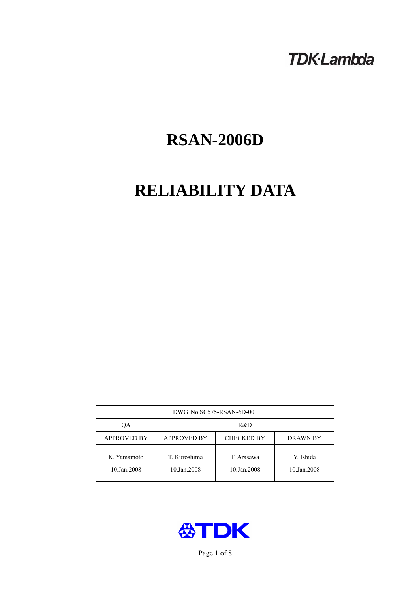## **TDK-Lambda**

# **RSAN-2006D**

## **RELIABILITY DATA**

| DWG. No.SC575-RSAN-6D-001  |                                                     |                           |                          |  |  |
|----------------------------|-----------------------------------------------------|---------------------------|--------------------------|--|--|
| OА                         | R&D                                                 |                           |                          |  |  |
| <b>APPROVED BY</b>         | <b>APPROVED BY</b><br><b>CHECKED BY</b><br>DRAWN BY |                           |                          |  |  |
| K. Yamamoto<br>10.Jan.2008 | T. Kuroshima<br>10.Jan.2008                         | T. Arasawa<br>10.Jan.2008 | Y. Ishida<br>10.Jan.2008 |  |  |



Page 1 of 8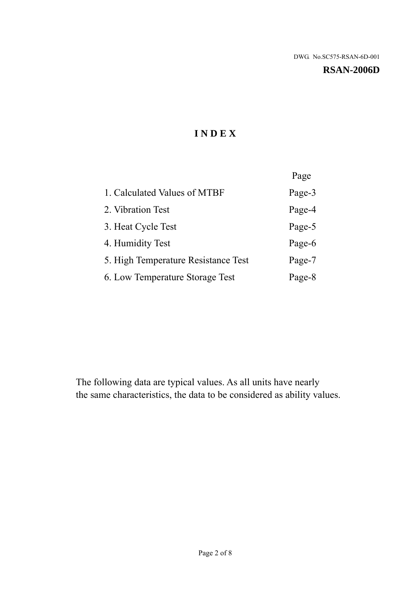#### **RSAN-2006D**

## **I N D E X**

|                                     | Page   |
|-------------------------------------|--------|
| 1. Calculated Values of MTBF        | Page-3 |
| 2. Vibration Test                   | Page-4 |
| 3. Heat Cycle Test                  | Page-5 |
| 4. Humidity Test                    | Page-6 |
| 5. High Temperature Resistance Test | Page-7 |
| 6. Low Temperature Storage Test     | Page-8 |

The following data are typical values. As all units have nearly the same characteristics, the data to be considered as ability values.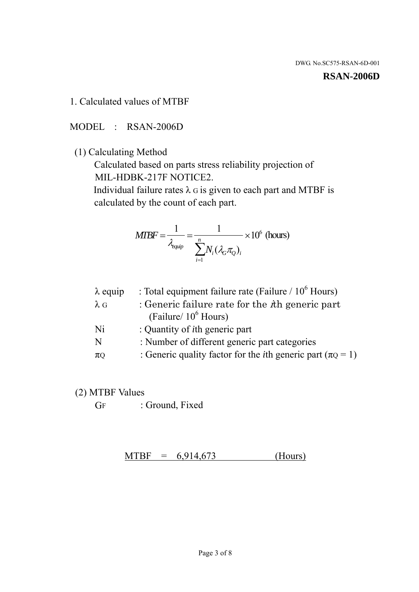#### **RSAN-2006D**

1. Calculated values of MTBF

MODEL : RSAN-2006D

(1) Calculating Method

 Calculated based on parts stress reliability projection of MIL-HDBK-217F NOTICE2.

Individual failure rates  $\lambda$  G is given to each part and MTBF is calculated by the count of each part.

$$
MIBF = \frac{1}{\lambda_{\text{equip}}} = \frac{1}{\sum_{i=1}^{n} N_i (\lambda_G \pi_Q)_i} \times 10^6 \text{ (hours)}
$$

| $\lambda$ equip | : Total equipment failure rate (Failure $/ 10^6$ Hours)                   |
|-----------------|---------------------------------------------------------------------------|
| $\lambda$ G     | : Generic failure rate for the $\hbar$ generic part                       |
|                 | (Failure/ $10^6$ Hours)                                                   |
| Ni              | : Quantity of <i>i</i> th generic part                                    |
| N               | : Number of different generic part categories                             |
| $\pi$ Q         | : Generic quality factor for the <i>i</i> th generic part ( $\pi Q = 1$ ) |

- (2) MTBF Values
	- GF : Ground, Fixed

 $MTBF = 6,914,673$  (Hours)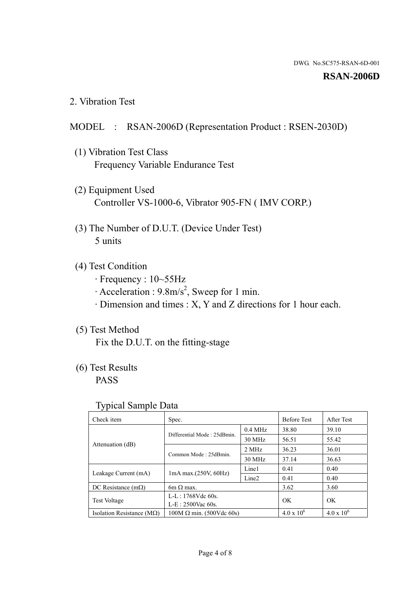#### **RSAN-2006D**

2. Vibration Test

### MODEL : RSAN-2006D (Representation Product : RSEN-2030D)

- (1) Vibration Test Class Frequency Variable Endurance Test
- (2) Equipment Used Controller VS-1000-6, Vibrator 905-FN ( IMV CORP.)
- (3) The Number of D.U.T. (Device Under Test) 5 units
- (4) Test Condition
	- · Frequency : 10~55Hz
	- $\cdot$  Acceleration : 9.8m/s<sup>2</sup>, Sweep for 1 min.
	- · Dimension and times : X, Y and Z directions for 1 hour each.

## (5) Test Method

Fix the D.U.T. on the fitting-stage

## (6) Test Results

PASS

#### Typical Sample Data

| . .                           |                                                         |           |                     |                     |
|-------------------------------|---------------------------------------------------------|-----------|---------------------|---------------------|
| Check item                    | Spec.                                                   |           | <b>Before Test</b>  | After Test          |
|                               | Differential Mode: 25dBmin.                             | $0.4$ MHz | 38.80               | 39.10               |
|                               |                                                         | 30 MHz    | 56.51               | 55.42               |
| Attenuation (dB)              | Common Mode: 25dBmin.                                   | 2 MHz     | 36.23               | 36.01               |
|                               |                                                         | 30 MHz    | 37.14               | 36.63               |
| Leakage Current (mA)          | Line1<br>$1mA$ max. $(250V, 60Hz)$<br>Line <sub>2</sub> |           | 0.41                | 0.40                |
|                               |                                                         |           | 0.41                | 0.40                |
| DC Resistance $(m\Omega)$     | $6m \Omega$ max.                                        |           | 3.62                | 3.60                |
| <b>Test Voltage</b>           | $L-L: 1768Vdc$ 60s.                                     |           | OK                  | OK.                 |
|                               | $L-E$ : 2500Vac 60s.                                    |           |                     |                     |
| Isolation Resistance ( $MQ$ ) | $100M \Omega$ min. (500Vdc 60s)                         |           | $4.0 \times 10^{6}$ | $4.0 \times 10^{6}$ |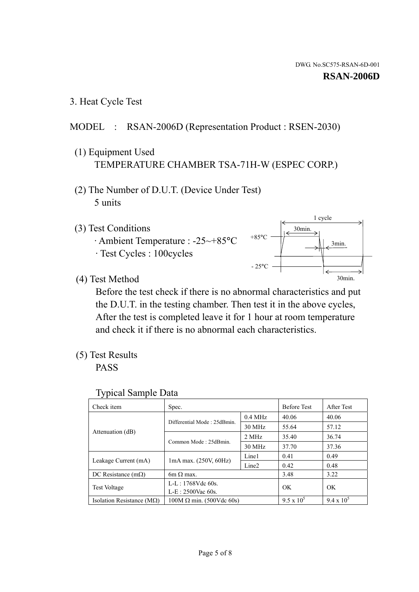1 cycle

30min.

3min.

30min.

3. Heat Cycle Test

### MODEL : RSAN-2006D (Representation Product : RSEN-2030)

- (1) Equipment Used TEMPERATURE CHAMBER TSA-71H-W (ESPEC CORP.)
- (2) The Number of D.U.T. (Device Under Test) 5 units
- (3) Test Conditions
	- · Ambient Temperature : -25~+85°C · Test Cycles : 100cycles
- (4) Test Method

 Before the test check if there is no abnormal characteristics and put the D.U.T. in the testing chamber. Then test it in the above cycles, After the test is completed leave it for 1 hour at room temperature and check it if there is no abnormal each characteristics.

 $+85$ °C

 $-25^{\circ}$ C

(5) Test Results

PASS

| <b>Typical Sample Data</b> |  |  |
|----------------------------|--|--|
|----------------------------|--|--|

| Check item                    | Spec.                           |                   | <b>Before Test</b> | After Test        |
|-------------------------------|---------------------------------|-------------------|--------------------|-------------------|
|                               | Differential Mode: 25dBmin.     | $0.4$ MHz         | 40.06              | 40.06             |
|                               |                                 | 30 MHz            | 55.64              | 57.12             |
| Attenuation (dB)              | Common Mode: 25dBmin.           | 2 MHz             | 35.40              | 36.74             |
|                               |                                 | 30 MHz            | 37.70              | 37.36             |
| Leakage Current (mA)          | 1mA max. (250V, 60Hz)           | Line1             | 0.41               | 0.49              |
|                               |                                 | Line <sub>2</sub> | 0.42               | 0.48              |
| DC Resistance $(m\Omega)$     | $6m \Omega$ max.                |                   | 3.48               | 3.22              |
| <b>Test Voltage</b>           | $L-L: 1768Vdc$ 60s.             |                   | OK                 | OK.               |
|                               | L-E: 2500Vac 60s.               |                   |                    |                   |
| Isolation Resistance ( $MQ$ ) | $100M \Omega$ min. (500Vdc 60s) |                   | $9.5 \times 10^5$  | $9.4 \times 10^5$ |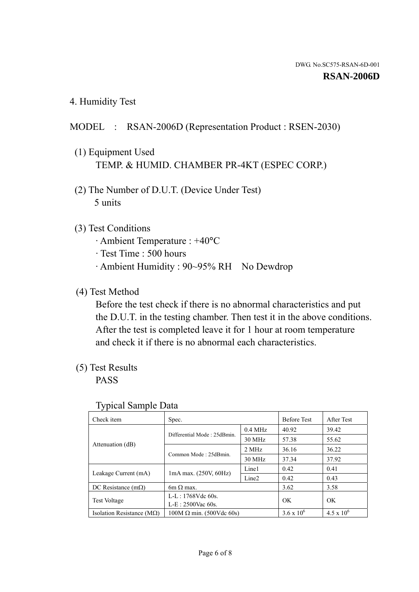4. Humidity Test

## MODEL : RSAN-2006D (Representation Product : RSEN-2030)

- (1) Equipment Used TEMP. & HUMID. CHAMBER PR-4KT (ESPEC CORP.)
- (2) The Number of D.U.T. (Device Under Test) 5 units

### (3) Test Conditions

- · Ambient Temperature : +40°C
- · Test Time : 500 hours
- · Ambient Humidity : 90~95% RH No Dewdrop

## (4) Test Method

 Before the test check if there is no abnormal characteristics and put the D.U.T. in the testing chamber. Then test it in the above conditions. After the test is completed leave it for 1 hour at room temperature and check it if there is no abnormal each characteristics.

## (5) Test Results

PASS

| ╯▴                                 |                                 |                   |                     |                     |
|------------------------------------|---------------------------------|-------------------|---------------------|---------------------|
| Check item                         | Spec.                           |                   | <b>Before Test</b>  | After Test          |
|                                    | Differential Mode: 25dBmin.     | $0.4$ MHz         | 40.92               | 39.42               |
|                                    |                                 | 30 MHz            | 57.38               | 55.62               |
| Attenuation (dB)                   | Common Mode: 25dBmin.           | 2 MHz             | 36.16               | 36.22               |
|                                    |                                 | 30 MHz            | 37.34               | 37.92               |
| Leakage Current (mA)               | $1mA$ max. $(250V, 60Hz)$       | Line1             | 0.42                | 0.41                |
|                                    |                                 | Line <sub>2</sub> | 0.42                | 0.43                |
| DC Resistance $(m\Omega)$          | $6m \Omega$ max.                |                   | 3.62                | 3.58                |
| <b>Test Voltage</b>                | $L-L: 1768Vdc$ 60s.             |                   | OK                  | OK                  |
|                                    | $L-E: 2500$ Vac 60s.            |                   |                     |                     |
| Isolation Resistance ( $M\Omega$ ) | $100M \Omega$ min. (500Vdc 60s) |                   | $3.6 \times 10^{6}$ | $4.5 \times 10^{6}$ |

#### Typical Sample Data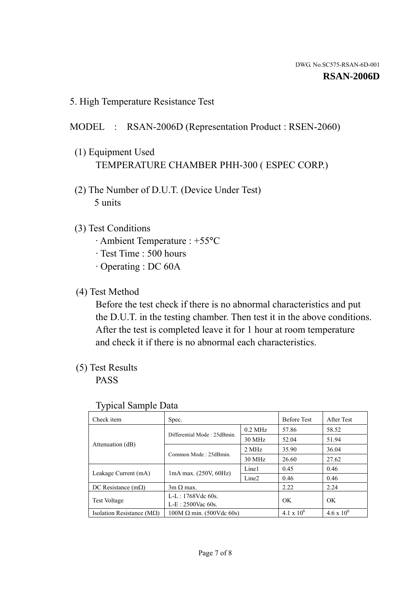5. High Temperature Resistance Test

#### MODEL : RSAN-2006D (Representation Product : RSEN-2060)

- (1) Equipment Used TEMPERATURE CHAMBER PHH-300 ( ESPEC CORP.)
- (2) The Number of D.U.T. (Device Under Test) 5 units
- (3) Test Conditions
	- · Ambient Temperature : +55°C
	- · Test Time : 500 hours
	- · Operating : DC 60A
- (4) Test Method

 Before the test check if there is no abnormal characteristics and put the D.U.T. in the testing chamber. Then test it in the above conditions. After the test is completed leave it for 1 hour at room temperature and check it if there is no abnormal each characteristics.

(5) Test Results

PASS

| ╯┸                                 |                                                         |           |                     |                     |
|------------------------------------|---------------------------------------------------------|-----------|---------------------|---------------------|
| Check item                         | Spec.                                                   |           | <b>Before Test</b>  | After Test          |
|                                    | Differential Mode: 25dBmin.                             | $0.2$ MHz | 57.86               | 58.52               |
|                                    |                                                         | 30 MHz    | 52.04               | 51.94               |
| Attenuation (dB)                   | Common Mode: 25dBmin.                                   | 2 MHz     | 35.90               | 36.04               |
|                                    |                                                         | 30 MHz    | 26.60               | 27.62               |
| Leakage Current (mA)               | Line1<br>$1mA$ max. $(250V, 60Hz)$<br>Line <sub>2</sub> |           | 0.45                | 0.46                |
|                                    |                                                         |           | 0.46                | 0.46                |
| DC Resistance $(m\Omega)$          | $3m \Omega$ max.                                        |           | 2.22                | 2.24                |
| <b>Test Voltage</b>                | $L-L: 1768Vdc$ 60s.                                     |           | OK                  | OK                  |
|                                    | $L-E: 2500$ Vac 60s.                                    |           |                     |                     |
| Isolation Resistance ( $M\Omega$ ) | $100M \Omega$ min. (500Vdc 60s)                         |           | $4.1 \times 10^{6}$ | $4.6 \times 10^{6}$ |

#### Typical Sample Data